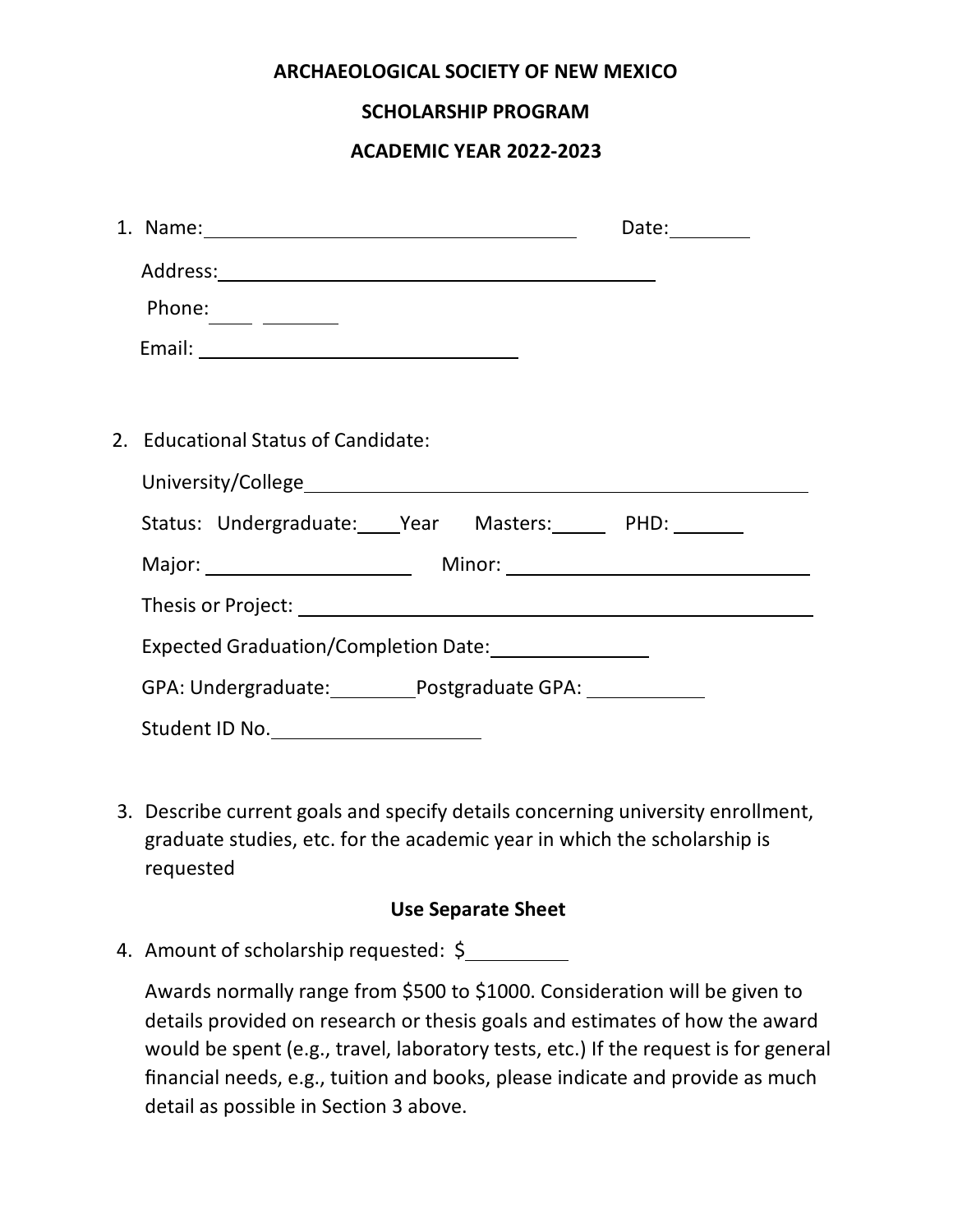| <b>ARCHAEOLOGICAL SOCIETY OF NEW MEXICO</b>                                                                                       |
|-----------------------------------------------------------------------------------------------------------------------------------|
| <b>SCHOLARSHIP PROGRAM</b>                                                                                                        |
| ACADEMIC YEAR 2022-2023                                                                                                           |
|                                                                                                                                   |
| 1. Name: 1. 2008. 2010. 2010. 2010. 2010. 2010. 2010. 2011. 2012. 2014. 2014. 2014. 2014. 2014. 2014. 2014. 20<br>Date: _________ |
|                                                                                                                                   |
| Phone: $\_\_$                                                                                                                     |
|                                                                                                                                   |
|                                                                                                                                   |
| 2. Educational Status of Candidate:                                                                                               |
|                                                                                                                                   |
| Status: Undergraduate: ____ Year Masters: _____ PHD: _______                                                                      |
|                                                                                                                                   |
|                                                                                                                                   |
|                                                                                                                                   |
| GPA: Undergraduate: __________Postgraduate GPA: _____________                                                                     |
|                                                                                                                                   |

3. Describe current goals and specify details concerning university enrollment, graduate studies, etc. for the academic year in which the scholarship is requested

## **Use Separate Sheet**

4. Amount of scholarship requested: \$

Awards normally range from \$500 to \$1000. Consideration will be given to details provided on research or thesis goals and estimates of how the award would be spent (e.g., travel, laboratory tests, etc.) If the request is for general financial needs, e.g., tuition and books, please indicate and provide as much detail as possible in Section 3 above.